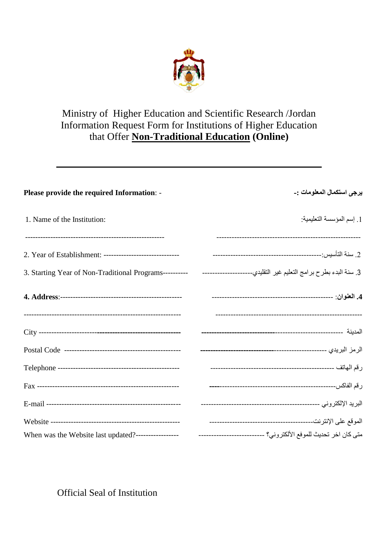

# Ministry of Higher Education and Scientific Research /Jordan Information Request Form for Institutions of Higher Education that Offer **Non-Traditional Education (Online)**

| Please provide the required Information: - | يرجى استكمال المعلومات :- |
|--------------------------------------------|---------------------------|
| 1. Name of the Institution:                | 1. إسم المؤسسة التعليمية: |
|                                            |                           |
|                                            |                           |
|                                            |                           |
|                                            |                           |
|                                            |                           |
|                                            |                           |
|                                            |                           |
|                                            |                           |
|                                            |                           |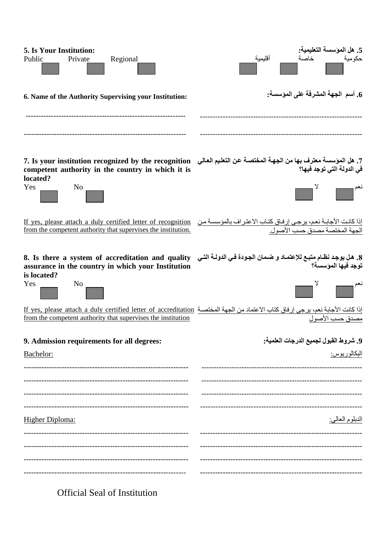| <b>5.</b> Is Your Institution:<br>Regional<br>Public<br>Private                                                                                                                                                   | 5. هل الموسسة التعليمية:<br>أقليمية   |
|-------------------------------------------------------------------------------------------------------------------------------------------------------------------------------------------------------------------|---------------------------------------|
| 6. Name of the Authority Supervising your Institution:                                                                                                                                                            | 6. أسم  الجهة المشرفة على الموسسة:    |
| 7. هل المؤسسة معترف بها من الجهة المختصـة عن التعليم العالي     7. Is your institution recognized by the recognition<br>competent authority in the country in which it is                                         | في الدولة التي توجد فيها؟             |
| located?<br>Yes<br>$No_$                                                                                                                                                                                          |                                       |
| إذا كانت الأجابـة نعم، يرجى إرفـاق كتـاب الاعتراف بالمؤسسـة من If yes, please attach a duly certified letter of recognition<br>الجهة المختصـة مصدق حسب الأصول ِ الصول .                                           |                                       |
| 8. هل يوجد نظام متبع للإعتمـاد و ضمان الجودة في الدولــة التـي    8. Is there a system of accreditation and quality<br>assurance in the country in which your Institution<br>is located?<br>Yes<br>N <sub>0</sub> | توجد فيها المؤسسة؟                    |
| إذا كانت الأجابة نعم، يرجى إرفاق كتاب الاعتماد من الجهة المختصــة If yes, please attach a duly certified letter of accreditation<br>مصدق حسب الأصول                                                               |                                       |
| 9. Admission requirements for all degrees:                                                                                                                                                                        | 9. شروط القبول لجميع الدرجات العلمية: |
| Bachelor:                                                                                                                                                                                                         | البكالوريوس:                          |
|                                                                                                                                                                                                                   |                                       |
|                                                                                                                                                                                                                   |                                       |
|                                                                                                                                                                                                                   |                                       |
| <b>Higher Diploma:</b>                                                                                                                                                                                            | الدبلوم العالبي <u>:</u>              |
|                                                                                                                                                                                                                   |                                       |
|                                                                                                                                                                                                                   |                                       |
|                                                                                                                                                                                                                   |                                       |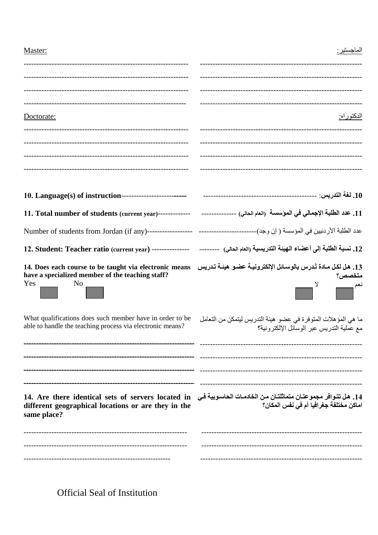| Master:                                                                                                                                                                                                 | الماحستد ·                                                                                                    |
|---------------------------------------------------------------------------------------------------------------------------------------------------------------------------------------------------------|---------------------------------------------------------------------------------------------------------------|
|                                                                                                                                                                                                         |                                                                                                               |
|                                                                                                                                                                                                         |                                                                                                               |
|                                                                                                                                                                                                         |                                                                                                               |
| Doctorate:                                                                                                                                                                                              | الدكتوراه:                                                                                                    |
|                                                                                                                                                                                                         |                                                                                                               |
|                                                                                                                                                                                                         |                                                                                                               |
|                                                                                                                                                                                                         |                                                                                                               |
|                                                                                                                                                                                                         |                                                                                                               |
|                                                                                                                                                                                                         |                                                                                                               |
|                                                                                                                                                                                                         |                                                                                                               |
|                                                                                                                                                                                                         |                                                                                                               |
| 13. هل لكل مـادة تُـدرس بالوسـائل الإلكترونيـة عضـو هيئـة تـدريس    14. Does each course to be taught via electronic means<br>have a specialized member of the teaching staff?<br>Yes<br>N <sub>0</sub> | متخصص؟<br>γ<br>نعم سيست                                                                                       |
| What qualifications does such member have in order to be<br>able to handle the teaching process via electronic means?                                                                                   | ما هي المؤ هلات المتوفرة في عضو  هيئة التدريس ليتمكن من التعامل<br>مع عملية التدريس عبر الوسائل الإلكتر ونية؟ |
| 14. Are there identical sets of servers located in و 14. Are there identical sets of servers located in<br>different geographical locations or are they in the<br>same place?                           | اماكن مختلفة جغرافيا أم في نفس المكان؟                                                                        |
|                                                                                                                                                                                                         |                                                                                                               |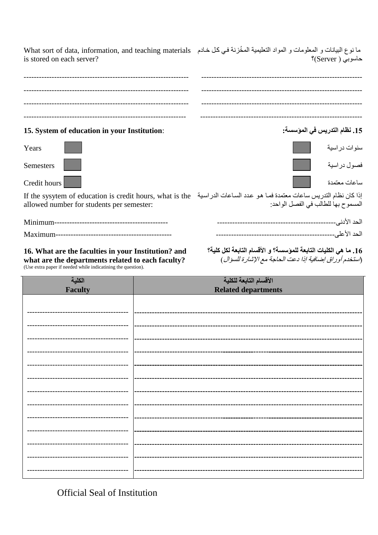ما نوع البيانات و المعلومات و المواد التعليمية المخُزنة في كل خادم What sort of data, information, and teaching materials is stored on each server? حاسوبي ( Server)؟ 15. System of education in your Institution: 15. نظام التدريس في المؤسسة: سنوات در اسية Years فصول در اسبة **Semesters** ساعات معتمدة Credit hours إذا كان نظام التدريس ساعات معتمدة فما هو عدد الساعات الدراسية - If the sysytem of education is credit hours, what is the

allowed number for students per semester:

16. What are the faculties in your Institution? and what are the departments related to each faculty? (Use extra paper if needed while indicatining the question).

16. ما هي الكليات التابعة للمؤسسة؟ و الأقسام التابعة لكل كلية؟ (استخدم أوراق إضافية إذا دعت الحاجة مع الإشارة للسؤال )

المسموح بها للطالب في الفصل الواحد:

| الكلية         | الأقسام التابعة للكلية     |
|----------------|----------------------------|
| <b>Faculty</b> | <b>Related departments</b> |
|                |                            |
|                |                            |
|                |                            |
|                |                            |
|                |                            |
|                |                            |
|                |                            |
|                |                            |
|                |                            |
|                |                            |
|                | ----------------------     |
|                |                            |
|                |                            |
|                |                            |
|                |                            |
|                |                            |
|                |                            |
|                | -----------------          |
|                |                            |
|                |                            |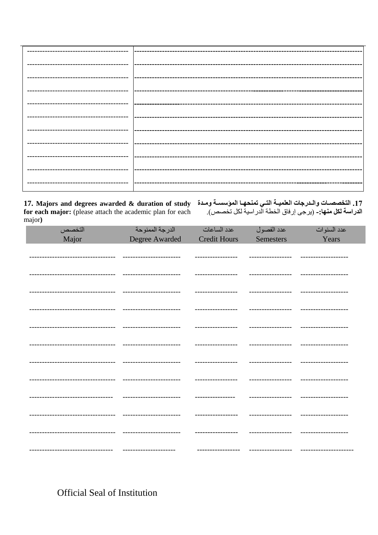major)

17. التخصصــات والـدرجات العلميـــة التــي تمنحهــا الموّسســـة ومــدة 17. Majors and degrees awarded & duration of study<br>الدراسة لكل منها:- (يرجى إرفاق الخطة الدراسية لكل تخصص). for each major: (please attach the

| التخصص                            | الدرجة الممنوحة          | عدد الساعات         | عدد الفصول        | عدد السنوات           |
|-----------------------------------|--------------------------|---------------------|-------------------|-----------------------|
| Major                             | Degree Awarded           | <b>Credit Hours</b> | <b>Semesters</b>  | Years                 |
|                                   |                          |                     |                   |                       |
|                                   |                          |                     |                   |                       |
| ------------------                |                          | ---------------     | ----------------- |                       |
| --------------------------------- | -----------------------  | -----------------   | ----------------- | -------------------   |
| --------------------------        | ------------------------ | -----------------   | ----------------- |                       |
| -----------------                 |                          | ---------------     | ---------------   |                       |
|                                   |                          |                     |                   |                       |
| --------------------              |                          | -----------------   | ----------------- | ----------------      |
| ----------------------------      | ------------------------ |                     | ----------------- | -------------------   |
|                                   |                          |                     |                   |                       |
| --------------------              | -----------------------  | -------------       | ---------------   | -----------------     |
| ------------------------------    | ----------------------   | -----------------   | ----------------- | --------------------- |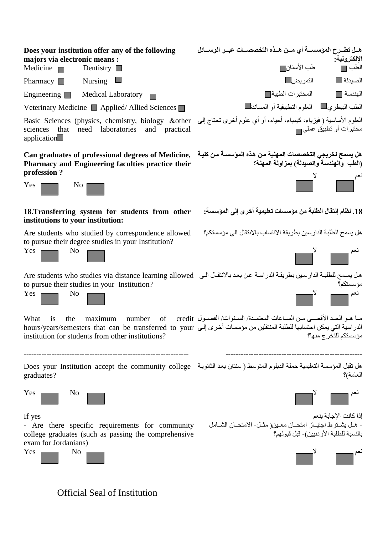| Does your institution offer any of the following<br>majors via electronic means :<br>Medicine $\blacksquare$<br>Dentistry $\Box$                                                                                     | هـل تطــرح الموّسســـة أي مـــن هــذه التخصصـــات عبــر الوســـائل<br>الإلكترونية:<br>طب الأسنان∏<br>الطب ∏                                                                                                                                                |
|----------------------------------------------------------------------------------------------------------------------------------------------------------------------------------------------------------------------|------------------------------------------------------------------------------------------------------------------------------------------------------------------------------------------------------------------------------------------------------------|
| Pharmacy $\Box$<br><b>Nursing</b>                                                                                                                                                                                    | التمريض<br>الصيدلة■                                                                                                                                                                                                                                        |
| Engineering $\Box$<br><b>Medical Laboratory</b>                                                                                                                                                                      | المختبر ات الطبية<br>الهندسة [[                                                                                                                                                                                                                            |
| Veterinary Medicine Applied/Allied Sciences                                                                                                                                                                          | الطب البيطري المعلول التطبيقية أو المساندها                                                                                                                                                                                                                |
| العلوم الأساسية ( فيزياء، كيمياء، أحياء، أو أي علوم أخرى نحتاج إلى   Basic Sciences (physics, chemistry, biology<br>that<br>need laboratories<br>sciences<br>and<br>practical<br>application                         | مختبرات أو تطبيق عملي                                                                                                                                                                                                                                      |
| Can graduates of professional degrees of Medicine,<br>Pharmacy and Engineering faculties practice their<br>profession?                                                                                               | هل يسمح لخريجي التخصصات المهنية من هذه المؤسسـة من كليـة<br>(الطب والهندسة والصيدلة) بمزاولة المهنة؟                                                                                                                                                       |
| Yes<br>N <sub>0</sub>                                                                                                                                                                                                |                                                                                                                                                                                                                                                            |
| 18. Transferring system for students from other<br>institutions to your institution:                                                                                                                                 | 18. نظام إنتقال الطلبة من موسسات تعليمية أخرى إلى الموسسة:                                                                                                                                                                                                 |
| Are students who studied by correspondence allowed                                                                                                                                                                   | هل يسمح للطلبة الدارسين بطريقة الانتساب بالانتقال الى مؤسستكم؟                                                                                                                                                                                             |
| to pursue their degree studies in your Institution?<br>Yes<br>N <sub>0</sub>                                                                                                                                         |                                                                                                                                                                                                                                                            |
| هل يسمح للطلبة الدارسين بطريقة الدراسة عن بعد بالانتقال الى   Are students who studies via distance learning allowed<br>to pursue their studies in your Institution?<br>Yes<br>N <sub>0</sub>                        | مؤسستكم؟<br>نعم سي                                                                                                                                                                                                                                         |
| What<br>number<br>the<br>maximum<br>1S<br>الدراسية التي يمكن احتسابها للطلبة المنتقلين من مؤسسات أخرى إلى mours/years/semesters that can be transferred to your<br>institution for students from other institutions? | ما هـو الحـد الأقصـي مـن السـاعات المعتمـدة/ السـنوات/ الفصـول of credit<br>مؤسستكم للتخرج منها؟                                                                                                                                                           |
| هل تقبل المؤسسة التعليمية حملة الدبلوم المتوسط ( سنتان بعد الثانوية   Does your Institution accept the community college<br>graduates?                                                                               | العامة)؟                                                                                                                                                                                                                                                   |
| Yes<br>No                                                                                                                                                                                                            | $\begin{array}{ c c } \hline \quad \quad & \end{array}$ المسلم المسلم المسلم المسلم المسلم المسلم المسلم المسلم المسلم المسلم المسلم المسلم المسلم المسلم المسلم المسلم المسلم المسلم المسلم المسلم المسلم المسلم المسلم المسلم المسلم المسلم المسلم المسل |
| If yes<br>- Are there specific requirements for community<br>college graduates (such as passing the comprehensive<br>exam for Jordanians)                                                                            | إ <u>ذا كانت الإجابة بنعم</u><br>- هـل يشـترـط اجتيــاز  امتحــان معــين( مثــل- الامتحــان الشـــامل<br>بالنسبة للطلبة الأردنيين)- قبل قبولهم؟                                                                                                            |
| N <sub>0</sub><br>Yes                                                                                                                                                                                                |                                                                                                                                                                                                                                                            |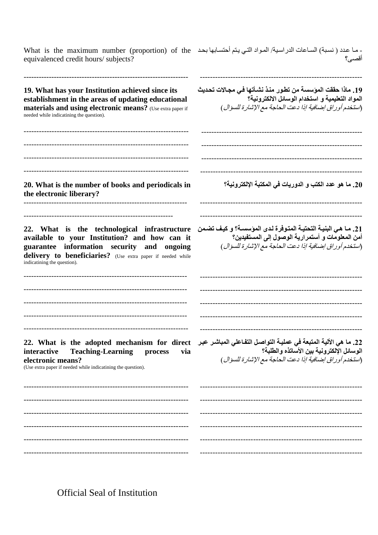| - مـا عدد ( نسبة) السـاعات الدراسـية/ المـواد التـي يتم أحتسـابـها بـحـد   What is the maximum number (proportion) of the<br>equivalenced credit hours/ subjects?                                                                                               | أقصبي؟                                                                                                                                                                             |
|-----------------------------------------------------------------------------------------------------------------------------------------------------------------------------------------------------------------------------------------------------------------|------------------------------------------------------------------------------------------------------------------------------------------------------------------------------------|
| 19. What has your Institution achieved since its<br>establishment in the areas of updating educational<br>materials and using electronic means? (Use extra paper if<br>needed while indicatining the question).                                                 | 19. ماذا حققت المؤسسة من تطور منذ نشـأتها فـي مجـالات تحديث<br>المواد التعليمية و استخدام الوسائل الالكترونية؟<br>(استخدم أور اق إضافية إذا دعت الحاجة مع الإشارة للسؤال )         |
| 20. What is the number of books and periodicals in<br>the electronic liberary?                                                                                                                                                                                  | 20. ما هو عدد الكتب و الدوريات في المكتبة الإلكترونية؟                                                                                                                             |
| 22. What is the technological infrastructure<br>available to your Institution? and how can it<br>guarantee information security and ongoing<br>delivery to beneficiaries? (Use extra paper if needed while<br>indicatining the question).                       | 21. مـا هي البنيــة التحتيــة المتوفرة لـدى المؤسســة؟ و كيـف تضـمن<br>أمن المعلومات و أستمرارية الوصول إلى المستفيدين؟<br>(استخدم أوراق إضافية إذا دعت الحاجة مع الإشارة للسؤال ) |
| 22. What is the adopted mechanism for direct التفاعلي المباشر عبر At is the adopted mechanism for direct .22.<br><b>Teaching-Learning</b><br>interactive<br>via<br>process<br>electronic means?<br>(Use extra paper if needed while indicatining the question). | الوسائل الإلكترونية بين الأساتذه والطلبة؟<br>(استخدم أوراق إضافية إذا دعت الحاجة مع الإشارة للسؤال )                                                                               |
|                                                                                                                                                                                                                                                                 |                                                                                                                                                                                    |
|                                                                                                                                                                                                                                                                 |                                                                                                                                                                                    |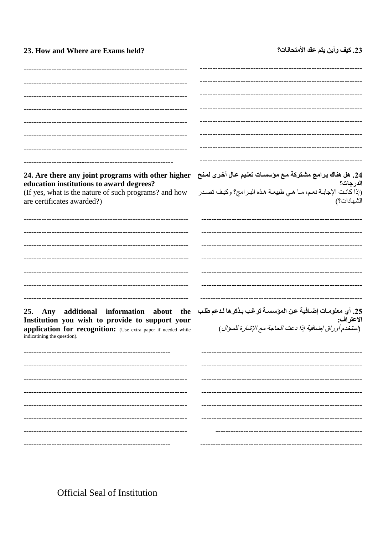23. How and Where are Exams held?

# 23. كيف وأين يتم عقد الأمتحانات؟

| 24. Are there any joint programs with other higher                                           | 24. هل هناك برامج مشتركة مع مؤسسات تعليم عال أخرى لمنح<br>الدعدلة ؟             |
|----------------------------------------------------------------------------------------------|---------------------------------------------------------------------------------|
| education institutions to award degrees?                                                     | الدرجات؟                                                                        |
| (If yes, what is the nature of such programs? and how<br>are certificates awarded?)          | (إذا كانت الإجابـة نعم، مـا هـي طبيعـة هذه البـرامج؟ وكيف تصـدر<br>الشهادات؟)   |
|                                                                                              |                                                                                 |
|                                                                                              |                                                                                 |
|                                                                                              |                                                                                 |
|                                                                                              |                                                                                 |
|                                                                                              |                                                                                 |
|                                                                                              |                                                                                 |
| Any additional information about the<br>25.                                                  | 25. أي معلومــات إضــافيـة عـن الموّسســة ترغب بـذكر ها لـدعم طلـب<br>الاعتراف· |
| Institution you wish to provide to support your                                              | الاعتراف:                                                                       |
| application for recognition: (Use extra paper if needed while<br>indicatining the question). | (استخدم أوراق إضافية إذا دعت الحاجة مع الإشارة للسؤال)                          |
|                                                                                              |                                                                                 |
|                                                                                              |                                                                                 |
|                                                                                              |                                                                                 |
|                                                                                              |                                                                                 |
|                                                                                              |                                                                                 |
|                                                                                              |                                                                                 |
|                                                                                              |                                                                                 |
|                                                                                              |                                                                                 |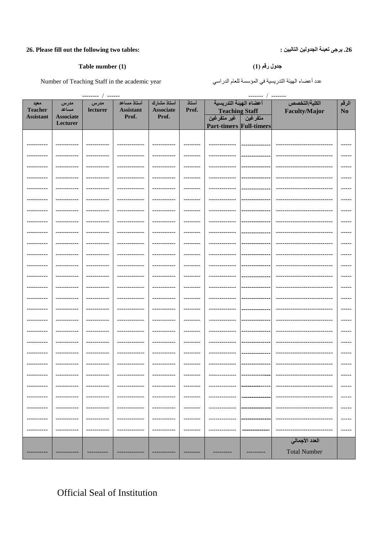### 26. Please fill out the following two tables:

#### Table number (1)

Number of Teaching Staff in the academic year

| ------- / -------<br>--------- / ------ |                  |             |                  |                  |                   |                                |             |                            |                        |
|-----------------------------------------|------------------|-------------|------------------|------------------|-------------------|--------------------------------|-------------|----------------------------|------------------------|
| معيد                                    | مدرس             | مدرس        | أستاذ مساعد      | أستاذ مشارك      | أستاذ             | أعضاء الهيئة التدريسية         |             | الكلية/التخصص              | الرقم                  |
| <b>Teacher</b>                          | مساعد            | lecturer    | <b>Assistant</b> | <b>Associate</b> | Prof.             | <b>Teaching Staff</b>          |             | <b>Faculty/Major</b>       | No                     |
| <b>Assistant</b>                        | <b>Associate</b> |             | Prof.            | Prof.            |                   | متفرغين گفير متفرغين           |             |                            |                        |
|                                         | Lecturer         |             |                  |                  |                   | <b>Part-timers Full-timers</b> |             |                            |                        |
|                                         |                  |             |                  |                  |                   |                                |             |                            |                        |
|                                         |                  |             |                  |                  |                   |                                |             |                            | $---$                  |
|                                         |                  |             |                  |                  |                   |                                |             |                            |                        |
|                                         |                  |             |                  |                  | --------          |                                |             |                            | $- - - - -$            |
| .                                       |                  |             |                  |                  | --------          |                                |             |                            | $- - - - -$            |
|                                         |                  |             |                  |                  |                   |                                |             |                            |                        |
| ----------                              | -----------      | ----------- | ______________   | -----------      | ---------         | -------------                  | ---------   |                            | $- - - - -$            |
| ---------                               | --------         |             | .                |                  | $- - - - - - - -$ |                                |             |                            | $- - - - -$            |
| ---------                               |                  | ----------  | .                |                  | --------          | ------------                   | .           |                            | $- - - - -$            |
|                                         |                  |             |                  |                  |                   |                                |             |                            |                        |
|                                         |                  |             |                  |                  |                   |                                |             |                            | $- - - - -$            |
| --------                                |                  |             |                  |                  |                   |                                |             |                            |                        |
|                                         |                  |             |                  |                  |                   |                                |             |                            | $- - - - -$            |
| ---------                               |                  |             |                  |                  | $- - - - - - - -$ |                                |             |                            |                        |
|                                         |                  |             |                  |                  |                   |                                |             |                            | $- - - - -$            |
|                                         |                  |             |                  |                  |                   |                                |             |                            | $- - - - -$            |
| .                                       | -----------      | ----------- | .                |                  | $- - - - - - - -$ |                                |             |                            | $- - - - -$            |
| .                                       |                  | ----------- | ------------     |                  | --------          |                                |             |                            | $- - - - -$            |
|                                         |                  |             |                  |                  |                   |                                |             |                            |                        |
| .                                       | ------------     | ----------- | -------------    | -----------      | $- - - - - - - -$ | -------------                  |             |                            | $- - - - -$            |
| ---------                               | ----------       | ----------- | ------------     |                  | --------          | -------------                  |             |                            | $- - - - -$            |
| ---------                               | ----------       | ----------  | ----------       |                  | --------          |                                |             |                            | $- - - - -$            |
| --------                                |                  |             |                  |                  |                   |                                |             |                            | $- - - - -$            |
|                                         |                  |             |                  |                  |                   |                                |             |                            |                        |
| ----------                              | -----------      | ----------- | ----------       |                  | --------          |                                |             |                            | $\cdots \cdots \cdots$ |
| ---------                               |                  |             |                  |                  | --------          |                                |             |                            | $- - - - -$            |
| ----------                              | -----------      | ----------- | -------------    | -----------      | --------          | -------------                  | --------    |                            | $- - - - -$            |
| ----------                              |                  | ----------- | ----------       |                  | $- - - - - - - -$ |                                |             |                            | $\frac{1}{2}$          |
|                                         |                  |             |                  |                  |                   |                                |             |                            |                        |
| ----------                              | -----------      | ----------- | -------------    | -----------      | $- - - - - - - -$ | -------------                  | ----------- | -------------------------- | $\cdots \cdots$        |
| ----------                              |                  |             |                  |                  | --------          |                                |             |                            |                        |
|                                         |                  |             |                  |                  | -------           |                                |             |                            |                        |
|                                         |                  |             |                  |                  |                   |                                |             |                            |                        |
|                                         |                  |             |                  |                  |                   |                                |             |                            |                        |
|                                         |                  |             |                  |                  |                   |                                |             |                            |                        |
| ----------                              |                  |             |                  |                  |                   |                                |             |                            | -----                  |
|                                         |                  |             |                  |                  |                   |                                |             | العدد الأجمالي             |                        |
|                                         |                  |             |                  |                  |                   |                                |             |                            |                        |
|                                         |                  |             |                  |                  | ---------         |                                | ----------  | <b>Total Number</b>        |                        |

### جدول رقم (1)

عدد أعضاء الهيئة التدريسية في المؤسسة للعام الدراسي

**Official Seal of Institution** 

### 26. يرجى تعبئة الجدولين التاليين :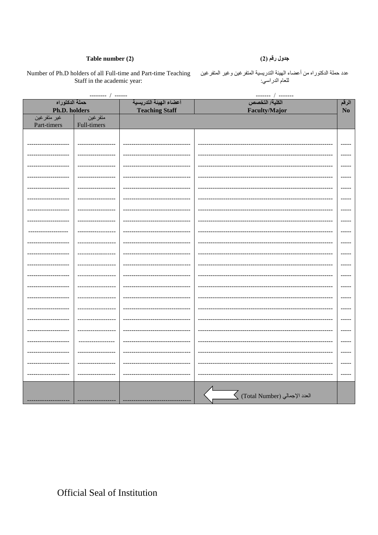#### Table number (2)

### جدول رقم (2)

Staff in the academic year:

عدد حملة الدكتوراه من أعضاء الهيئة التدريسية المتفر غين وغير المتفر غين Number of Ph.D holders of all Full-time and Part-time Teaching للعام الدراسي:

 $--- 1$ الكلية/ التخصص حملة الدكتوراه أعضاء الهيئة التدريسية الرقم Ph.D. holders **Teaching Staff**  $N<sub>0</sub>$ **Faculty/Major** غير متفرغين متفرغين Part-timers Full-timers للمست --------------- $\frac{1}{2}$  $\frac{1}{2}$  $\frac{1}{1}$  $\frac{1}{2}$  $\frac{1}{2}$ ----- $\frac{1}{2}$  $\frac{1}{2}$  $\frac{1}{2}$  $\frac{1}{2}$  $\frac{1}{2}$ --------------- $\frac{1}{2}$  $\frac{1}{1}$ ----- $\frac{1}{1}$  $\overline{\bigvee}$  (Total Number) العدد الإجمالي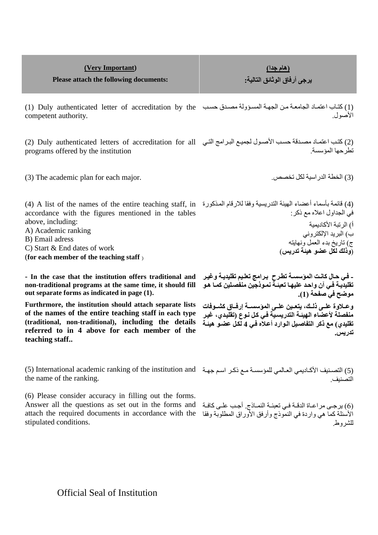| (Very Important)<br>Please attach the following documents:                                                                                                                                                                                                                                                                                                                                                                     | (هام جدا <u>)</u><br>يرجى أرفاق الوثائق التالية:                                                                                                                                                       |
|--------------------------------------------------------------------------------------------------------------------------------------------------------------------------------------------------------------------------------------------------------------------------------------------------------------------------------------------------------------------------------------------------------------------------------|--------------------------------------------------------------------------------------------------------------------------------------------------------------------------------------------------------|
| (1) كتاب اعتماد الجامعة من الجهة المسؤولة مصدق حسب (1) Duly authenticated letter of accreditation by the<br>competent authority.                                                                                                                                                                                                                                                                                               | الأصول                                                                                                                                                                                                 |
| (2) كتب اعتماد مصدقة حسب الأصول لجميع البرامج التي Duly authenticated letters of accreditation for all<br>programs offered by the institution                                                                                                                                                                                                                                                                                  | تطر حها المؤسسة                                                                                                                                                                                        |
| (3) The academic plan for each major.                                                                                                                                                                                                                                                                                                                                                                                          | (3) الخطة الدر اسية لكل تخصص.                                                                                                                                                                          |
| (4) فَائِمَة بِأَسِمَاءِ أَعْضَاءِ الْهِيئَةِ الْتَدْرِيسِيةِ وفَقَا لِلْإِرْقَامِ الْمُذْكُورِةِ " A list of the names of the entire teaching staff, in فَائِمَةٌ بِأَسْمَاءِ الْهِيئَةِ الْتَدْرِيسِيةِ وفَقَا لِلْإِرْقَام<br>accordance with the figures mentioned in the tables<br>above, including:<br>A) Academic ranking<br>B) Email adress<br>C) Start & End dates of work<br>(for each member of the teaching staff) | في الجداول اعلاه مع ذكر :<br>أ) الرتبة الأكاديمية<br>ب) البريد الإلكتروني<br>ج) تاريخ بدء العمل ونهايته<br>(وذلك لكل عضو هيئة تدريس)                                                                   |
| - In the case that the institution offers traditional and<br>non-traditional programs at the same time, it should fill<br>out separate forms as indicated in page (1).                                                                                                                                                                                                                                                         | ـ فـي حـال كانـت المؤسسـة تطـرح  بـرامج تعلـيم تقليديـة وـغيـر<br>تقليديــة فــي آن واحـد عليـهـا تـعبئــة نمــوذجين منفصـلين كمــا هـو<br>موضح في صفحة (1).                                           |
| Furthrmore, the institution should attach separate lists<br>of the names of the entire teaching staff in each type<br>(traditional, non-traditional), including the details<br>referred to in 4 above for each member of the<br>teaching staff                                                                                                                                                                                 | وعــلاوة علــي ذلــك، يتعـين علــي المؤسســـة إرفــاق كشــوفات<br>منفصلة لأعضاء الهيئـة التدريسـية فـى كل نـوع (تقليدي، غيـر<br>تقليدي) مع ذكر التفاصيل الـوارد أعـلاه فـى 4 لكـل عضـو هيئـة<br>تدريس. |
| (5) التصنيف الأكاديمي العالمي للمؤسسة مع ذكر اسم جهة " International academic ranking of the institution and (5)<br>the name of the ranking.<br>(6) Please consider accuracy in filling out the forms.                                                                                                                                                                                                                         |                                                                                                                                                                                                        |

Answer all the questions as set out in the forms and attach the required documents in accordance with the stipulated conditions.

(6) يرجـى مراعــاة الدقــة فــي تعبئــة النمــاذج. أجـب علــى كافــة األسئلة كما هي واردة في النموذج وأرفق األورات المطلوبة وفقا للطروط.